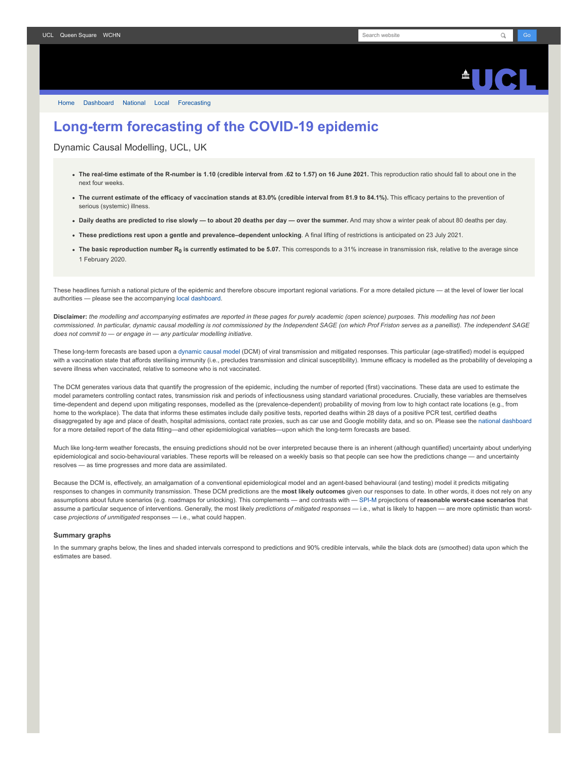## $\triangle$ ll $\triangle$

[Home](https://www.fil.ion.ucl.ac.uk/spm/covid-19/) [Dashboard](https://www.fil.ion.ucl.ac.uk/spm/covid-19/dashboard/) [National](https://www.fil.ion.ucl.ac.uk/spm/covid-19/dashboard/) [Local](https://www.fil.ion.ucl.ac.uk/spm/covid-19/dashboard/local/) [Forecasting](https://www.fil.ion.ucl.ac.uk/spm/covid-19/forecasting/)

## **Long-term forecasting of the COVID-19 epidemic**

Dynamic Causal Modelling, UCL, UK

- **The real-time estimate of the R-number is 1.10 (credible interval from .62 to 1.57) on 16 June 2021.** This reproduction ratio should fall to about one in the next four weeks.
- **The current estimate of the efficacy of vaccination stands at 83.0% (credible interval from 81.9 to 84.1%).** This efficacy pertains to the prevention of serious (systemic) illness.
- **Daily deaths are predicted to rise slowly to about 20 deaths per day over the summer.** And may show a winter peak of about 80 deaths per day.
- **These predictions rest upon a gentle and prevalence–dependent unlocking**. A final lifting of restrictions is anticipated on 23 July 2021.
- **The basic reproduction number R<sup>0</sup> is currently estimated to be 5.07.** This corresponds to a 31% increase in transmission risk, relative to the average since 1 February 2020.

These headlines furnish a national picture of the epidemic and therefore obscure important regional variations. For a more detailed picture — at the level of lower tier local authorities — please see the accompanying [local dashboard.](https://www.fil.ion.ucl.ac.uk/spm/covid-19/dashboard/local/)

**Disclaimer:** *the modelling and accompanying estimates are reported in these pages for purely academic (open science) purposes. This modelling has not been commissioned. In particular, dynamic causal modelling is not commissioned by the Independent SAGE (on which Prof Friston serves as a panellist). The independent SAGE does not commit to — or engage in — any particular modelling initiative.*

These long-term forecasts are based upon a [dynamic causal model](https://www.fil.ion.ucl.ac.uk/spm/covid-19) (DCM) of viral transmission and mitigated responses. This particular (age-stratified) model is equipped with a vaccination state that affords sterilising immunity (i.e., precludes transmission and clinical susceptibility). Immune efficacy is modelled as the probability of developing a severe illness when vaccinated, relative to someone who is not vaccinated.

The DCM generates various data that quantify the progression of the epidemic, including the number of reported (first) vaccinations. These data are used to estimate the model parameters controlling contact rates, transmission risk and periods of infectiousness using standard variational procedures. Crucially, these variables are themselves time-dependent and depend upon mitigating responses, modelled as the (prevalence-dependent) probability of moving from low to high contact rate locations (e.g., from home to the workplace). The data that informs these estimates include daily positive tests, reported deaths within 28 days of a positive PCR test, certified deaths disaggregated by age and place of death, hospital admissions, contact rate proxies, such as car use and Google mobility data, and so on. Please see the [national dashboard](https://www.fil.ion.ucl.ac.uk/spm/covid-19/dashboard/) for a more detailed report of the data fitting—and other epidemiological variables—upon which the long-term forecasts are based.

Much like long-term weather forecasts, the ensuing predictions should not be over interpreted because there is an inherent (although quantified) uncertainty about underlying epidemiological and socio-behavioural variables. These reports will be released on a weekly basis so that people can see how the predictions change — and uncertainty resolves — as time progresses and more data are assimilated.

Because the DCM is, effectively, an amalgamation of a conventional epidemiological model and an agent-based behavioural (and testing) model it predicts mitigating responses to changes in community transmission. These DCM predictions are the **most likely outcomes** given our responses to date. In other words, it does not rely on any assumptions about future scenarios (e.g. roadmaps for unlocking). This complements — and contrasts with — [SPI-M](https://www.gov.uk/government/groups/scientific-pandemic-influenza-subgroup-on-modelling) projections of **reasonable worst-case scenarios** that assume a particular sequence of interventions. Generally, the most likely *predictions of mitigated responses* — i.e., what is likely to happen — are more optimistic than worstcase *projections of unmitigated* responses — i.e., what could happen.

## **Summary graphs**

In the summary graphs below, the lines and shaded intervals correspond to predictions and 90% credible intervals, while the black dots are (smoothed) data upon which the estimates are based.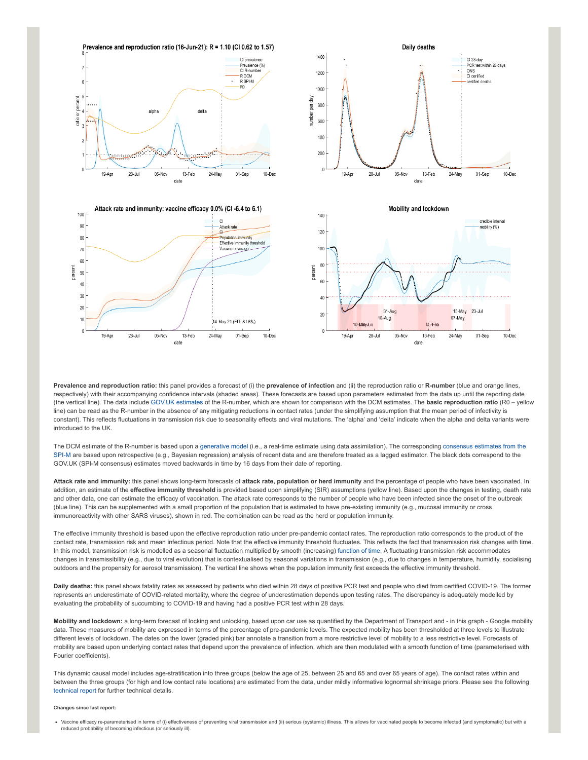

**Prevalence and reproduction ratio:** this panel provides a forecast of (i) the **prevalence of infection** and (ii) the reproduction ratio or **R-number** (blue and orange lines, respectively) with their accompanying confidence intervals (shaded areas). These forecasts are based upon parameters estimated from the data up until the reporting date (the vertical line). The data include [GOV.UK estimates](https://www.gov.uk/guidance/the-r-number-in-the-uk#latest-r-and-growth-rate) of the R-number, which are shown for comparison with the DCM estimates. The **basic reproduction ratio** (R0 – yellow line) can be read as the R-number in the absence of any mitigating reductions in contact rates (under the simplifying assumption that the mean period of infectivity is constant). This reflects fluctuations in transmission risk due to seasonality effects and viral mutations. The 'alpha' and 'delta' indicate when the alpha and delta variants were introduced to the UK.

[The DCM estimate of the R-number is based upon a g](https://www.gov.uk/guidance/the-r-number-in-the-uk#contents)[enerative mode](https://en.wikipedia.org/wiki/Generative_model)[l \(i.e., a real-time estimate using data assimilation\). The corresponding consensus estimates from the](https://www.gov.uk/guidance/the-r-number-in-the-uk#contents) SPI-M are based upon retrospective (e.g., Bayesian regression) analysis of recent data and are therefore treated as a lagged estimator. The black dots correspond to the GOV.UK (SPI-M consensus) estimates moved backwards in time by 16 days from their date of reporting.

**Attack rate and immunity:** this panel shows long-term forecasts of **attack rate, population or herd immunity** and the percentage of people who have been vaccinated. In addition, an estimate of the effective immunity threshold is provided based upon simplifying (SIR) assumptions (yellow line). Based upon the changes in testing, death rate and other data, one can estimate the efficacy of vaccination. The attack rate corresponds to the number of people who have been infected since the onset of the outbreak (blue line). This can be supplemented with a small proportion of the population that is estimated to have pre-existing immunity (e.g., mucosal immunity or cross immunoreactivity with other SARS viruses), shown in red. The combination can be read as the herd or population immunity.

The effective immunity threshold is based upon the effective reproduction ratio under pre-pandemic contact rates. The reproduction ratio corresponds to the product of the contact rate, transmission risk and mean infectious period. Note that the effective immunity threshold fluctuates. This reflects the fact that transmission risk changes with time. In this model, transmission risk is modelled as a seasonal fluctuation multiplied by smooth (increasing) [function of time.](https://www.medrxiv.org/content/10.1101/2021.01.10.21249520v1) A fluctuating transmission risk accommodates changes in transmissibility (e.g., due to viral evolution) that is contextualised by seasonal variations in transmission (e.g., due to changes in temperature, humidity, socialising outdoors and the propensity for aerosol transmission). The vertical line shows when the population immunity first exceeds the effective immunity threshold.

**Daily deaths:** this panel shows fatality rates as assessed by patients who died within 28 days of positive PCR test and people who died from certified COVID-19. The former represents an underestimate of COVID-related mortality, where the degree of underestimation depends upon testing rates. The discrepancy is adequately modelled by evaluating the probability of succumbing to COVID-19 and having had a positive PCR test within 28 days.

**Mobility and lockdown:** a long-term forecast of locking and unlocking, based upon car use as quantified by the Department of Transport and - in this graph - Google mobility data. These measures of mobility are expressed in terms of the percentage of pre-pandemic levels. The expected mobility has been thresholded at three levels to illustrate different levels of lockdown. The dates on the lower (graded pink) bar annotate a transition from a more restrictive level of mobility to a less restrictive level. Forecasts of mobility are based upon underlying contact rates that depend upon the prevalence of infection, which are then modulated with a smooth function of time (parameterised with Fourier coefficients).

This dynamic causal model includes age-stratification into three groups (below the age of 25, between 25 and 65 and over 65 years of age). The contact rates within and between the three groups (for high and low contact rate locations) are estimated from the data, under mildly informative lognormal shrinkage priors. Please see the following [technical report](https://arxiv.org/abs/2011.12400) for further technical details.

## **Changes since last report:**

• Vaccine efficacy re-parameterised in terms of (i) effectiveness of preventing viral transmission and (ii) serious (systemic) illness. This allows for vaccinated people to become infected (and symptomatic) but with a reduced probability of becoming infectious (or seriously ill).